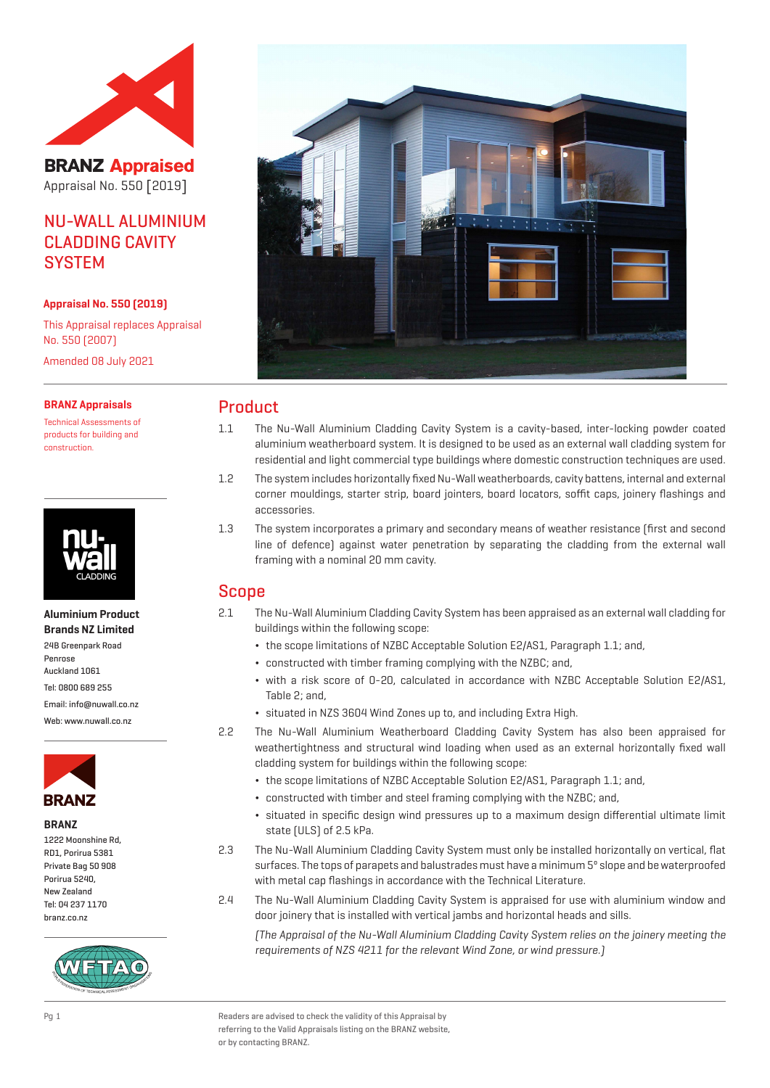

**BRANZ Appraised** Appraisal No. 550 [2019]

# NU-WALL ALUMINIUM CLADDING CAVITY **SYSTEM**

#### **Appraisal No. 550 (2019)**

This Appraisal replaces Appraisal No. 550 (2007) Amended 08 July 2021

#### **BRANZ Appraisals**

Technical Assessments of products for building and construction.



**Aluminium Product Brands NZ Limited** 24B Greenpark Road Penrose Auckland 1061 Tel: 0800 689 255 Email: info@nuwall.co.nz Web: www.nuwall.co.nz



#### **BRANZ**

| 1222 Moonshine Rd. |  |
|--------------------|--|
| RD1, Porirua 5381  |  |
| Private Bag 50 908 |  |
| Porirua 5240.      |  |
| New 7ealand        |  |
| Tel: 04 237 1170   |  |
| branz.co.nz        |  |





## Product

- 1.1 The Nu-Wall Aluminium Cladding Cavity System is a cavity-based, inter-locking powder coated aluminium weatherboard system. It is designed to be used as an external wall cladding system for residential and light commercial type buildings where domestic construction techniques are used.
- 1.2 The system includes horizontally fixed Nu-Wall weatherboards, cavity battens, internal and external corner mouldings, starter strip, board jointers, board locators, soffit caps, joinery flashings and accessories.
- 1.3 The system incorporates a primary and secondary means of weather resistance (first and second line of defence) against water penetration by separating the cladding from the external wall framing with a nominal 20 mm cavity.

## Scope

- 2.1 The Nu-Wall Aluminium Cladding Cavity System has been appraised as an external wall cladding for buildings within the following scope:
	- ¬ the scope limitations of NZBC Acceptable Solution E2/AS1, Paragraph 1.1; and,
	- ¬ constructed with timber framing complying with the NZBC; and,
	- ¬ with a risk score of 0-20, calculated in accordance with NZBC Acceptable Solution E2/AS1, Table 2; and,
	- ¬ situated in NZS 3604 Wind Zones up to, and including Extra High.
- 2.2 The Nu-Wall Aluminium Weatherboard Cladding Cavity System has also been appraised for weathertightness and structural wind loading when used as an external horizontally fixed wall cladding system for buildings within the following scope:
	- ¬ the scope limitations of NZBC Acceptable Solution E2/AS1, Paragraph 1.1; and,
	- ¬ constructed with timber and steel framing complying with the NZBC; and,
	- ¬ situated in specific design wind pressures up to a maximum design differential ultimate limit state (ULS) of 2.5 kPa.
- 2.3 The Nu-Wall Aluminium Cladding Cavity System must only be installed horizontally on vertical, flat surfaces. The tops of parapets and balustrades must have a minimum 5º slope and be waterproofed with metal cap flashings in accordance with the Technical Literature.
- 2.4 The Nu-Wall Aluminium Cladding Cavity System is appraised for use with aluminium window and door joinery that is installed with vertical jambs and horizontal heads and sills.

(The Appraisal of the Nu-Wall Aluminium Cladding Cavity System relies on the joinery meeting the requirements of NZS 4211 for the relevant Wind Zone, or wind pressure.)

Pg 1 Readers are advised to check the validity of this Appraisal by referring to the Valid Appraisals listing on the BRANZ website, or by contacting BRANZ.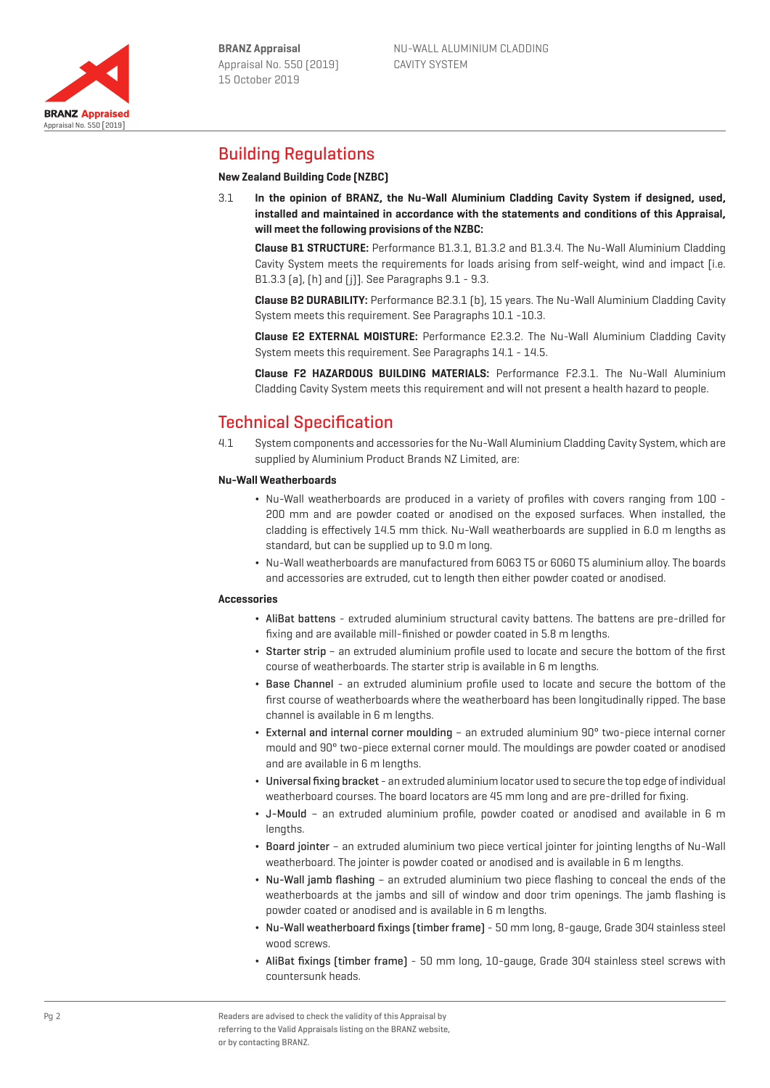Appraisal No. 550 [2019]

**BRANZ Appraised** 

# Building Regulations

### **New Zealand Building Code (NZBC)**

3.1 **In the opinion of BRANZ, the Nu-Wall Aluminium Cladding Cavity System if designed, used, installed and maintained in accordance with the statements and conditions of this Appraisal, will meet the following provisions of the NZBC:**

**Clause B1 STRUCTURE:** Performance B1.3.1, B1.3.2 and B1.3.4. The Nu-Wall Aluminium Cladding Cavity System meets the requirements for loads arising from self-weight, wind and impact [i.e.] B1.3.3 (a), (h) and (j)]. See Paragraphs 9.1 - 9.3.

**Clause B2 DURABILITY:** Performance B2.3.1 (b), 15 years. The Nu-Wall Aluminium Cladding Cavity System meets this requirement. See Paragraphs 10.1 -10.3.

**Clause E2 EXTERNAL MOISTURE:** Performance E2.3.2. The Nu-Wall Aluminium Cladding Cavity System meets this requirement. See Paragraphs 14.1 - 14.5.

**Clause F2 HAZARDOUS BUILDING MATERIALS:** Performance F2.3.1. The Nu-Wall Aluminium Cladding Cavity System meets this requirement and will not present a health hazard to people.

# Technical Specification

4.1 System components and accessories for the Nu-Wall Aluminium Cladding Cavity System, which are supplied by Aluminium Product Brands NZ Limited, are:

#### **Nu-Wall Weatherboards**

- ¬ Nu-Wall weatherboards are produced in a variety of profiles with covers ranging from 100 200 mm and are powder coated or anodised on the exposed surfaces. When installed, the cladding is effectively 14.5 mm thick. Nu-Wall weatherboards are supplied in 6.0 m lengths as standard, but can be supplied up to 9.0 m long.
- ¬ Nu-Wall weatherboards are manufactured from 6063 T5 or 6060 T5 aluminium alloy. The boards and accessories are extruded, cut to length then either powder coated or anodised.

#### **Accessories**

- ¬ AliBat battens extruded aluminium structural cavity battens. The battens are pre-drilled for fixing and are available mill-finished or powder coated in 5.8 m lengths.
- ¬ Starter strip an extruded aluminium profile used to locate and secure the bottom of the first course of weatherboards. The starter strip is available in 6 m lengths.
- ¬ Base Channel an extruded aluminium profile used to locate and secure the bottom of the first course of weatherboards where the weatherboard has been longitudinally ripped. The base channel is available in 6 m lengths.
- ¬ External and internal corner moulding an extruded aluminium 90° two-piece internal corner mould and 90° two-piece external corner mould. The mouldings are powder coated or anodised and are available in 6 m lengths.
- ¬ Universal fixing bracket an extruded aluminium locator used to secure the top edge of individual weatherboard courses. The board locators are 45 mm long and are pre-drilled for fixing.
- ¬ J-Mould an extruded aluminium profile, powder coated or anodised and available in 6 m lengths.
- ¬ Board jointer an extruded aluminium two piece vertical jointer for jointing lengths of Nu-Wall weatherboard. The jointer is powder coated or anodised and is available in 6 m lengths.
- ¬ Nu-Wall jamb flashing an extruded aluminium two piece flashing to conceal the ends of the weatherboards at the jambs and sill of window and door trim openings. The jamb flashing is powder coated or anodised and is available in 6 m lengths.
- ¬ Nu-Wall weatherboard fixings (timber frame) 50 mm long, 8-gauge, Grade 304 stainless steel wood screws.
- ¬ AliBat fixings (timber frame) 50 mm long, 10-gauge, Grade 304 stainless steel screws with countersunk heads.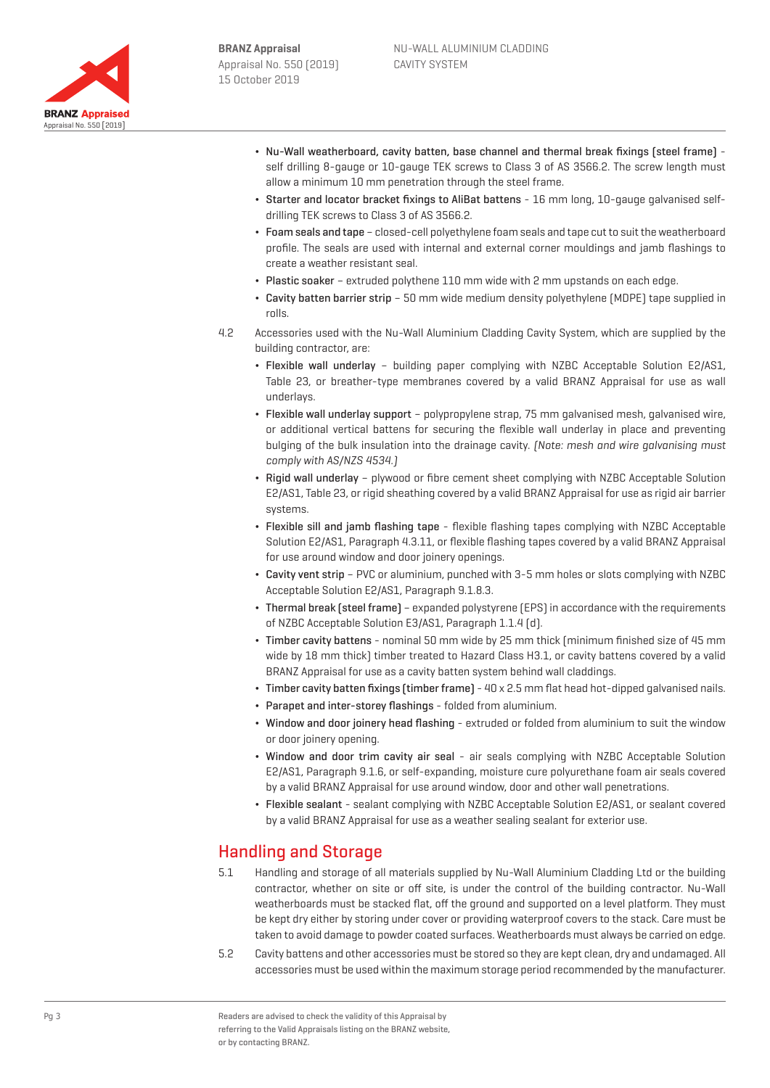

- ¬ Nu-Wall weatherboard, cavity batten, base channel and thermal break fixings (steel frame) self drilling 8-gauge or 10-gauge TEK screws to Class 3 of AS 3566.2. The screw length must allow a minimum 10 mm penetration through the steel frame.
- ¬ Starter and locator bracket fixings to AliBat battens 16 mm long, 10-gauge galvanised selfdrilling TEK screws to Class 3 of AS 3566.2.
- ¬ Foam seals and tape closed-cell polyethylene foam seals and tape cut to suit the weatherboard profile. The seals are used with internal and external corner mouldings and jamb flashings to create a weather resistant seal.
- ¬ Plastic soaker extruded polythene 110 mm wide with 2 mm upstands on each edge.
- ¬ Cavity batten barrier strip 50 mm wide medium density polyethylene (MDPE) tape supplied in rolls.
- 4.2 Accessories used with the Nu-Wall Aluminium Cladding Cavity System, which are supplied by the building contractor, are:
	- ¬ Flexible wall underlay building paper complying with NZBC Acceptable Solution E2/AS1, Table 23, or breather-type membranes covered by a valid BRANZ Appraisal for use as wall underlays.
	- ¬ Flexible wall underlay support polypropylene strap, 75 mm galvanised mesh, galvanised wire, or additional vertical battens for securing the flexible wall underlay in place and preventing bulging of the bulk insulation into the drainage cavity. (Note: mesh and wire galvanising must comply with AS/NZS 4534.)
	- ¬ Rigid wall underlay plywood or fibre cement sheet complying with NZBC Acceptable Solution E2/AS1, Table 23, or rigid sheathing covered by a valid BRANZ Appraisal for use as rigid air barrier systems.
	- ¬ Flexible sill and jamb flashing tape flexible flashing tapes complying with NZBC Acceptable Solution E2/AS1, Paragraph 4.3.11, or flexible flashing tapes covered by a valid BRANZ Appraisal for use around window and door joinery openings.
	- ¬ Cavity vent strip PVC or aluminium, punched with 3-5 mm holes or slots complying with NZBC Acceptable Solution E2/AS1, Paragraph 9.1.8.3.
	- ¬ Thermal break (steel frame) expanded polystyrene (EPS) in accordance with the requirements of NZBC Acceptable Solution E3/AS1, Paragraph 1.1.4 (d).
	- ¬ Timber cavity battens nominal 50 mm wide by 25 mm thick (minimum finished size of 45 mm wide by 18 mm thick) timber treated to Hazard Class H3.1, or cavity battens covered by a valid BRANZ Appraisal for use as a cavity batten system behind wall claddings.
	- $\bullet$  Timber cavity batten fixings (timber frame) 40 x 2.5 mm flat head hot-dipped galvanised nails.
	- Parapet and inter-storey flashings folded from aluminium.
	- ¬ Window and door joinery head flashing extruded or folded from aluminium to suit the window or door joinery opening.
	- ¬ Window and door trim cavity air seal air seals complying with NZBC Acceptable Solution E2/AS1, Paragraph 9.1.6, or self-expanding, moisture cure polyurethane foam air seals covered by a valid BRANZ Appraisal for use around window, door and other wall penetrations.
	- ¬ Flexible sealant sealant complying with NZBC Acceptable Solution E2/AS1, or sealant covered by a valid BRANZ Appraisal for use as a weather sealing sealant for exterior use.

# Handling and Storage

- 5.1 Handling and storage of all materials supplied by Nu-Wall Aluminium Cladding Ltd or the building contractor, whether on site or off site, is under the control of the building contractor. Nu-Wall weatherboards must be stacked flat, off the ground and supported on a level platform. They must be kept dry either by storing under cover or providing waterproof covers to the stack. Care must be taken to avoid damage to powder coated surfaces. Weatherboards must always be carried on edge.
- 5.2 Cavity battens and other accessories must be stored so they are kept clean, dry and undamaged. All accessories must be used within the maximum storage period recommended by the manufacturer.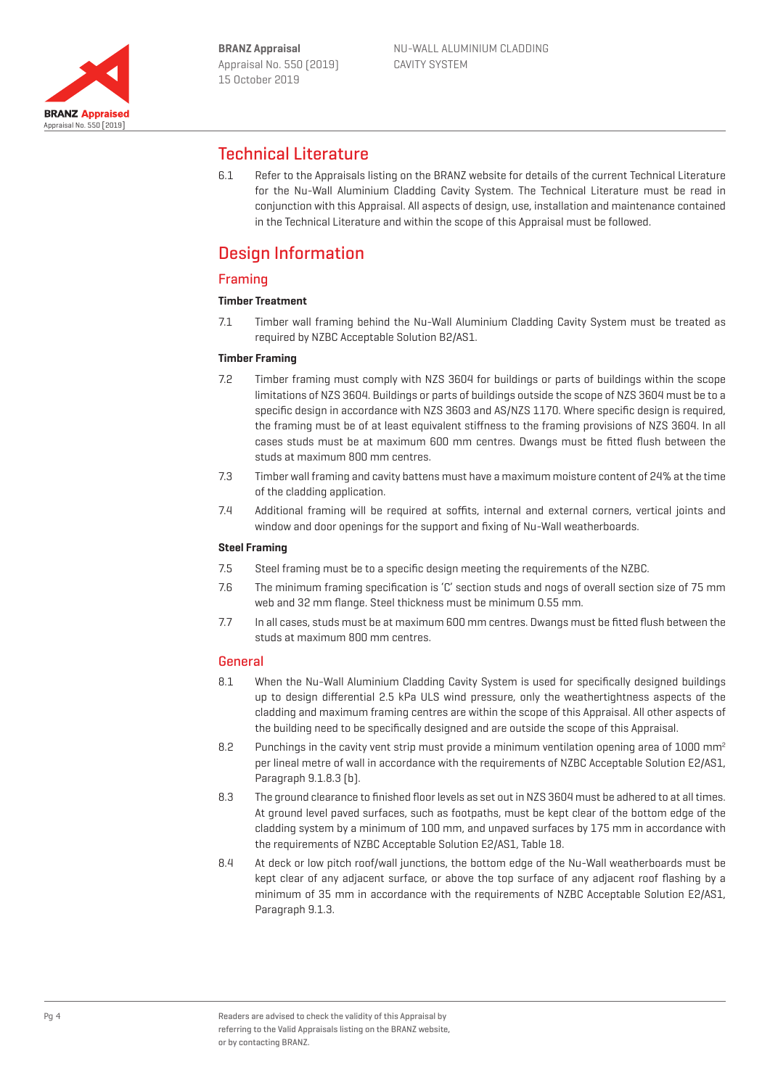

# Technical Literature

6.1 Refer to the Appraisals listing on the BRANZ website for details of the current Technical Literature for the Nu-Wall Aluminium Cladding Cavity System. The Technical Literature must be read in conjunction with this Appraisal. All aspects of design, use, installation and maintenance contained in the Technical Literature and within the scope of this Appraisal must be followed.

# Design Information

## Framing

## **Timber Treatment**

7.1 Timber wall framing behind the Nu-Wall Aluminium Cladding Cavity System must be treated as required by NZBC Acceptable Solution B2/AS1.

#### **Timber Framing**

- 7.2 Timber framing must comply with NZS 3604 for buildings or parts of buildings within the scope limitations of NZS 3604. Buildings or parts of buildings outside the scope of NZS 3604 must be to a specific design in accordance with NZS 3603 and AS/NZS 1170. Where specific design is required, the framing must be of at least equivalent stiffness to the framing provisions of NZS 3604. In all cases studs must be at maximum 600 mm centres. Dwangs must be fitted flush between the studs at maximum 800 mm centres.
- 7.3 Timber wall framing and cavity battens must have a maximum moisture content of 24% at the time of the cladding application.
- 7.4 Additional framing will be required at soffits, internal and external corners, vertical joints and window and door openings for the support and fixing of Nu-Wall weatherboards.

### **Steel Framing**

- 7.5 Steel framing must be to a specific design meeting the requirements of the NZBC.
- 7.6 The minimum framing specification is 'C' section studs and nogs of overall section size of 75 mm web and 32 mm flange. Steel thickness must be minimum 0.55 mm.
- 7.7 In all cases, studs must be at maximum 600 mm centres. Dwangs must be fitted flush between the studs at maximum 800 mm centres.

## General

- 8.1 When the Nu-Wall Aluminium Cladding Cavity System is used for specifically designed buildings up to design differential 2.5 kPa ULS wind pressure, only the weathertightness aspects of the cladding and maximum framing centres are within the scope of this Appraisal. All other aspects of the building need to be specifically designed and are outside the scope of this Appraisal.
- 8.2 Punchings in the cavity vent strip must provide a minimum ventilation opening area of 1000 mm<sup>2</sup> per lineal metre of wall in accordance with the requirements of NZBC Acceptable Solution E2/AS1, Paragraph 9.1.8.3 (b).
- 8.3 The ground clearance to finished floor levels as set out in NZS 3604 must be adhered to at all times. At ground level paved surfaces, such as footpaths, must be kept clear of the bottom edge of the cladding system by a minimum of 100 mm, and unpaved surfaces by 175 mm in accordance with the requirements of NZBC Acceptable Solution E2/AS1, Table 18.
- 8.4 At deck or low pitch roof/wall junctions, the bottom edge of the Nu-Wall weatherboards must be kept clear of any adjacent surface, or above the top surface of any adjacent roof flashing by a minimum of 35 mm in accordance with the requirements of NZBC Acceptable Solution E2/AS1, Paragraph 9.1.3.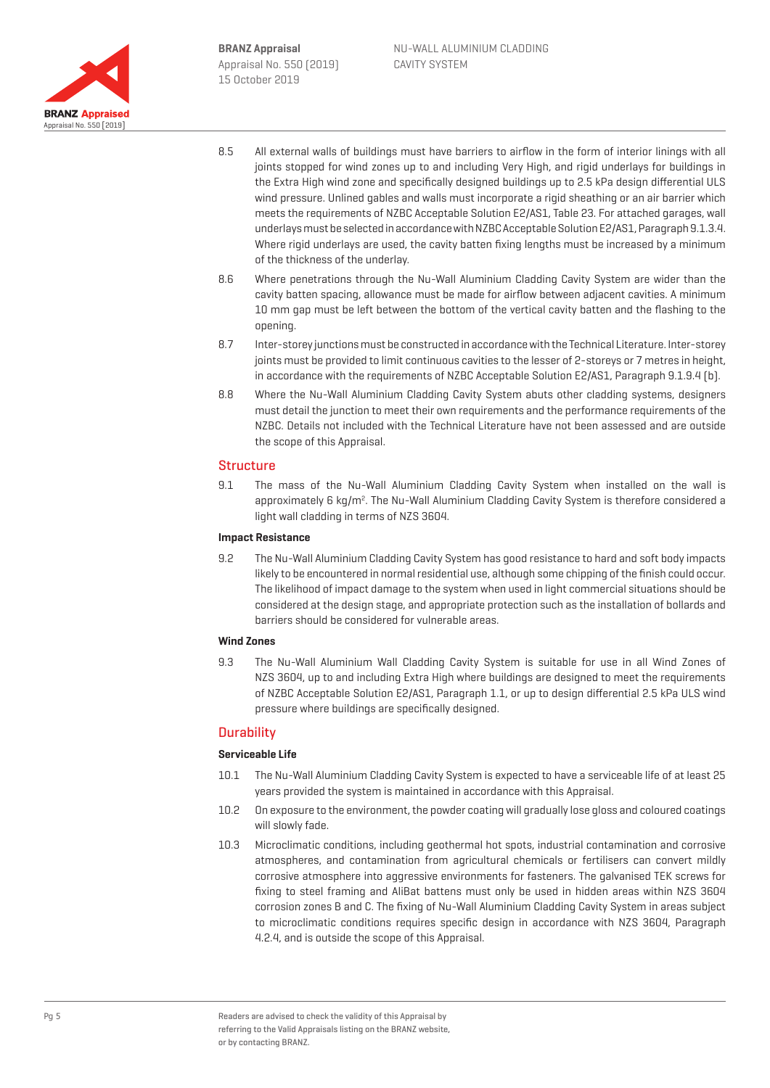

- 8.5 All external walls of buildings must have barriers to airflow in the form of interior linings with all joints stopped for wind zones up to and including Very High, and rigid underlays for buildings in the Extra High wind zone and specifically designed buildings up to 2.5 kPa design differential ULS wind pressure. Unlined gables and walls must incorporate a rigid sheathing or an air barrier which meets the requirements of NZBC Acceptable Solution E2/AS1, Table 23. For attached garages, wall underlays must be selected in accordance with NZBC Acceptable Solution E2/AS1, Paragraph 9.1.3.4. Where rigid underlays are used, the cavity batten fixing lengths must be increased by a minimum of the thickness of the underlay.
- 8.6 Where penetrations through the Nu-Wall Aluminium Cladding Cavity System are wider than the cavity batten spacing, allowance must be made for airflow between adjacent cavities. A minimum 10 mm gap must be left between the bottom of the vertical cavity batten and the flashing to the opening.
- 8.7 Inter-storey junctions must be constructed in accordance with the Technical Literature. Inter-storey joints must be provided to limit continuous cavities to the lesser of 2-storeys or 7 metres in height, in accordance with the requirements of NZBC Acceptable Solution E2/AS1, Paragraph 9.1.9.4 (b).
- 8.8 Where the Nu-Wall Aluminium Cladding Cavity System abuts other cladding systems, designers must detail the junction to meet their own requirements and the performance requirements of the NZBC. Details not included with the Technical Literature have not been assessed and are outside the scope of this Appraisal.

## Structure

9.1 The mass of the Nu-Wall Aluminium Cladding Cavity System when installed on the wall is approximately 6 kg/m<sup>2</sup>. The Nu-Wall Aluminium Cladding Cavity System is therefore considered a light wall cladding in terms of NZS 3604.

#### **Impact Resistance**

9.2 The Nu-Wall Aluminium Cladding Cavity System has good resistance to hard and soft body impacts likely to be encountered in normal residential use, although some chipping of the finish could occur. The likelihood of impact damage to the system when used in light commercial situations should be considered at the design stage, and appropriate protection such as the installation of bollards and barriers should be considered for vulnerable areas.

#### **Wind Zones**

9.3 The Nu-Wall Aluminium Wall Cladding Cavity System is suitable for use in all Wind Zones of NZS 3604, up to and including Extra High where buildings are designed to meet the requirements of NZBC Acceptable Solution E2/AS1, Paragraph 1.1, or up to design differential 2.5 kPa ULS wind pressure where buildings are specifically designed.

## **Durability**

#### **Serviceable Life**

- 10.1 The Nu-Wall Aluminium Cladding Cavity System is expected to have a serviceable life of at least 25 years provided the system is maintained in accordance with this Appraisal.
- 10.2 On exposure to the environment, the powder coating will gradually lose gloss and coloured coatings will slowly fade.
- 10.3 Microclimatic conditions, including geothermal hot spots, industrial contamination and corrosive atmospheres, and contamination from agricultural chemicals or fertilisers can convert mildly corrosive atmosphere into aggressive environments for fasteners. The galvanised TEK screws for fixing to steel framing and AliBat battens must only be used in hidden areas within NZS 3604 corrosion zones B and C. The fixing of Nu-Wall Aluminium Cladding Cavity System in areas subject to microclimatic conditions requires specific design in accordance with NZS 3604, Paragraph 4.2.4, and is outside the scope of this Appraisal.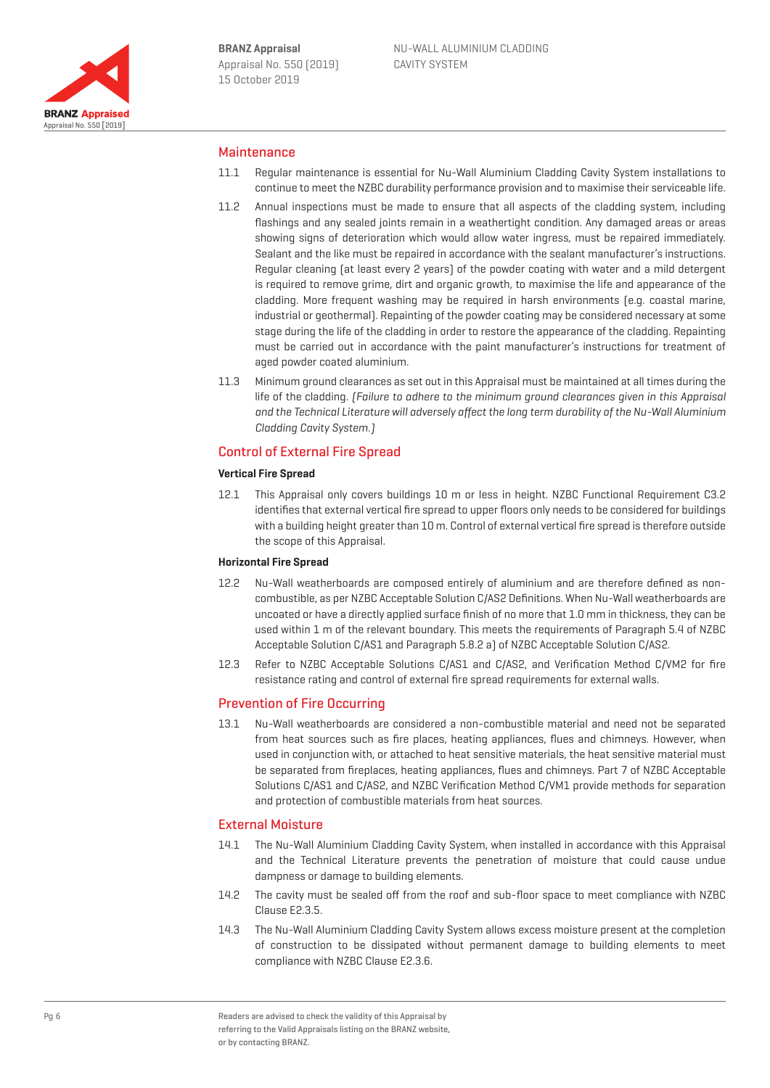

### Maintenance

- 11.1 Regular maintenance is essential for Nu-Wall Aluminium Cladding Cavity System installations to continue to meet the NZBC durability performance provision and to maximise their serviceable life.
- 11.2 Annual inspections must be made to ensure that all aspects of the cladding system, including flashings and any sealed joints remain in a weathertight condition. Any damaged areas or areas showing signs of deterioration which would allow water ingress, must be repaired immediately. Sealant and the like must be repaired in accordance with the sealant manufacturer's instructions. Regular cleaning (at least every 2 years) of the powder coating with water and a mild detergent is required to remove grime, dirt and organic growth, to maximise the life and appearance of the cladding. More frequent washing may be required in harsh environments (e.g. coastal marine, industrial or geothermal). Repainting of the powder coating may be considered necessary at some stage during the life of the cladding in order to restore the appearance of the cladding. Repainting must be carried out in accordance with the paint manufacturer's instructions for treatment of aged powder coated aluminium.
- 11.3 Minimum ground clearances as set out in this Appraisal must be maintained at all times during the life of the cladding. (Failure to adhere to the minimum ground clearances given in this Appraisal and the Technical Literature will adversely affect the long term durability of the Nu-Wall Aluminium Cladding Cavity System.)

#### Control of External Fire Spread

#### **Vertical Fire Spread**

12.1 This Appraisal only covers buildings 10 m or less in height. NZBC Functional Requirement C3.2 identifies that external vertical fire spread to upper floors only needs to be considered for buildings with a building height greater than 10 m. Control of external vertical fire spread is therefore outside the scope of this Appraisal.

#### **Horizontal Fire Spread**

- 12.2 Nu-Wall weatherboards are composed entirely of aluminium and are therefore defined as noncombustible, as per NZBC Acceptable Solution C/AS2 Definitions. When Nu-Wall weatherboards are uncoated or have a directly applied surface finish of no more that 1.0 mm in thickness, they can be used within 1 m of the relevant boundary. This meets the requirements of Paragraph 5.4 of NZBC Acceptable Solution C/AS1 and Paragraph 5.8.2 a) of NZBC Acceptable Solution C/AS2.
- 12.3 Refer to NZBC Acceptable Solutions C/AS1 and C/AS2, and Verification Method C/VM2 for fire resistance rating and control of external fire spread requirements for external walls.

#### Prevention of Fire Occurring

13.1 Nu-Wall weatherboards are considered a non-combustible material and need not be separated from heat sources such as fire places, heating appliances, flues and chimneys. However, when used in conjunction with, or attached to heat sensitive materials, the heat sensitive material must be separated from fireplaces, heating appliances, flues and chimneys. Part 7 of NZBC Acceptable Solutions C/AS1 and C/AS2, and NZBC Verification Method C/VM1 provide methods for separation and protection of combustible materials from heat sources.

#### External Moisture

- 14.1 The Nu-Wall Aluminium Cladding Cavity System, when installed in accordance with this Appraisal and the Technical Literature prevents the penetration of moisture that could cause undue dampness or damage to building elements.
- 14.2 The cavity must be sealed off from the roof and sub-floor space to meet compliance with NZBC Clause E2.3.5.
- 14.3 The Nu-Wall Aluminium Cladding Cavity System allows excess moisture present at the completion of construction to be dissipated without permanent damage to building elements to meet compliance with NZBC Clause E2.3.6.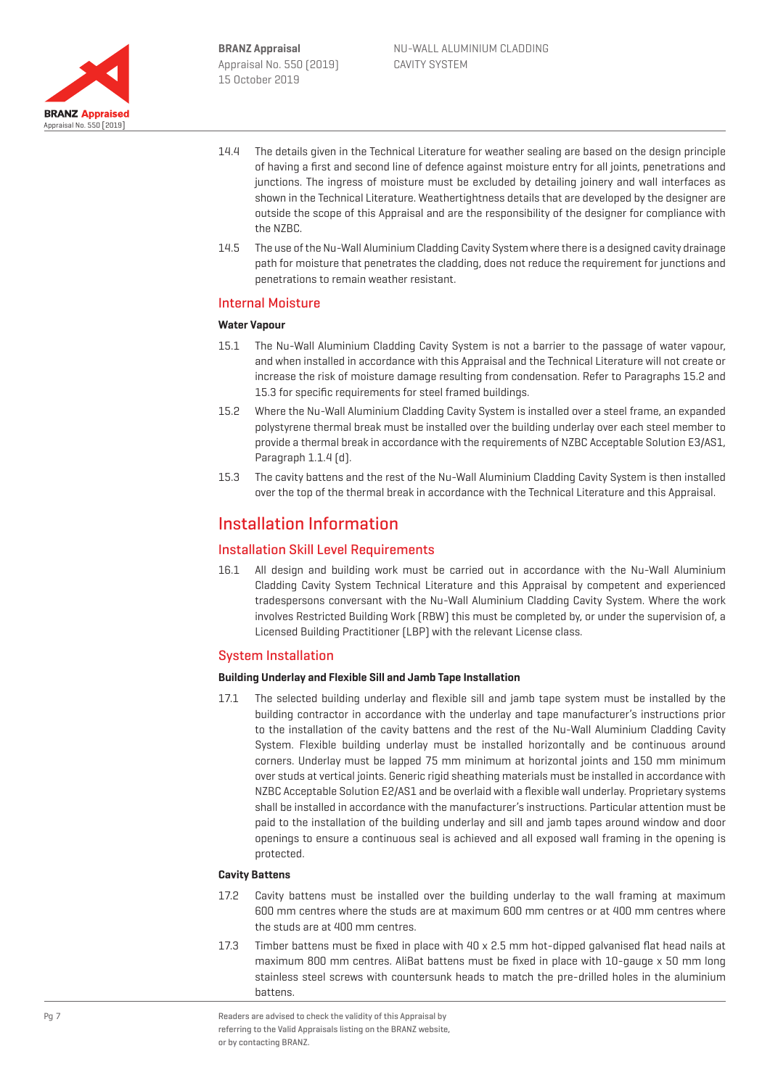

- 14.4 The details given in the Technical Literature for weather sealing are based on the design principle of having a first and second line of defence against moisture entry for all joints, penetrations and junctions. The ingress of moisture must be excluded by detailing joinery and wall interfaces as shown in the Technical Literature. Weathertightness details that are developed by the designer are outside the scope of this Appraisal and are the responsibility of the designer for compliance with the NZBC.
- 14.5 The use of the Nu-Wall Aluminium Cladding Cavity System where there is a designed cavity drainage path for moisture that penetrates the cladding, does not reduce the requirement for junctions and penetrations to remain weather resistant.

## Internal Moisture

#### **Water Vapour**

- 15.1 The Nu-Wall Aluminium Cladding Cavity System is not a barrier to the passage of water vapour, and when installed in accordance with this Appraisal and the Technical Literature will not create or increase the risk of moisture damage resulting from condensation. Refer to Paragraphs 15.2 and 15.3 for specific requirements for steel framed buildings.
- 15.2 Where the Nu-Wall Aluminium Cladding Cavity System is installed over a steel frame, an expanded polystyrene thermal break must be installed over the building underlay over each steel member to provide a thermal break in accordance with the requirements of NZBC Acceptable Solution E3/AS1, Paragraph 1.1.4 (d).
- 15.3 The cavity battens and the rest of the Nu-Wall Aluminium Cladding Cavity System is then installed over the top of the thermal break in accordance with the Technical Literature and this Appraisal.

## Installation Information

## Installation Skill Level Requirements

16.1 All design and building work must be carried out in accordance with the Nu-Wall Aluminium Cladding Cavity System Technical Literature and this Appraisal by competent and experienced tradespersons conversant with the Nu-Wall Aluminium Cladding Cavity System. Where the work involves Restricted Building Work (RBW) this must be completed by, or under the supervision of, a Licensed Building Practitioner (LBP) with the relevant License class.

#### System Installation

#### **Building Underlay and Flexible Sill and Jamb Tape Installation**

17.1 The selected building underlay and flexible sill and jamb tape system must be installed by the building contractor in accordance with the underlay and tape manufacturer's instructions prior to the installation of the cavity battens and the rest of the Nu-Wall Aluminium Cladding Cavity System. Flexible building underlay must be installed horizontally and be continuous around corners. Underlay must be lapped 75 mm minimum at horizontal joints and 150 mm minimum over studs at vertical joints. Generic rigid sheathing materials must be installed in accordance with NZBC Acceptable Solution E2/AS1 and be overlaid with a flexible wall underlay. Proprietary systems shall be installed in accordance with the manufacturer's instructions. Particular attention must be paid to the installation of the building underlay and sill and jamb tapes around window and door openings to ensure a continuous seal is achieved and all exposed wall framing in the opening is protected.

#### **Cavity Battens**

- 17.2 Cavity battens must be installed over the building underlay to the wall framing at maximum 600 mm centres where the studs are at maximum 600 mm centres or at 400 mm centres where the studs are at 400 mm centres.
- 17.3 Timber battens must be fixed in place with 40 x 2.5 mm hot-dipped galvanised flat head nails at maximum 800 mm centres. AliBat battens must be fixed in place with 10-gauge x 50 mm long stainless steel screws with countersunk heads to match the pre-drilled holes in the aluminium battens.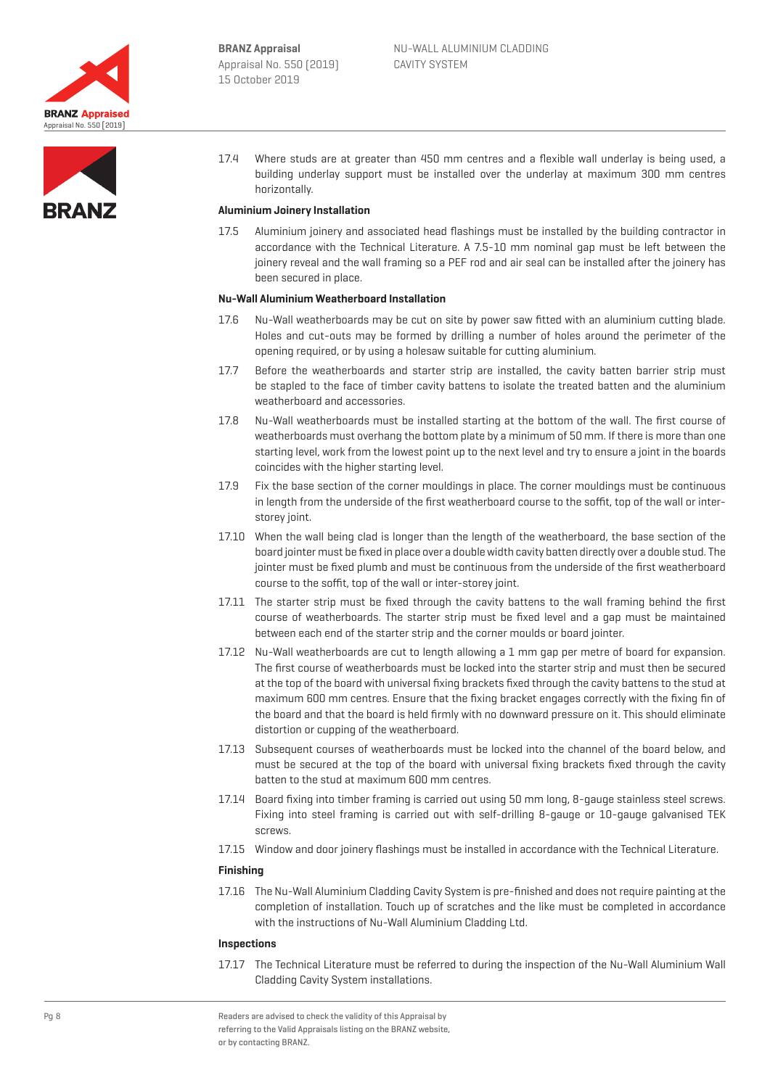



17.4 Where studs are at greater than 450 mm centres and a flexible wall underlay is being used, a building underlay support must be installed over the underlay at maximum 300 mm centres horizontally.

#### **Aluminium Joinery Installation**

17.5 Aluminium joinery and associated head flashings must be installed by the building contractor in accordance with the Technical Literature. A 7.5-10 mm nominal gap must be left between the joinery reveal and the wall framing so a PEF rod and air seal can be installed after the joinery has been secured in place.

#### **Nu-Wall Aluminium Weatherboard Installation**

- 17.6 Nu-Wall weatherboards may be cut on site by power saw fitted with an aluminium cutting blade. Holes and cut-outs may be formed by drilling a number of holes around the perimeter of the opening required, or by using a holesaw suitable for cutting aluminium.
- 17.7 Before the weatherboards and starter strip are installed, the cavity batten barrier strip must be stapled to the face of timber cavity battens to isolate the treated batten and the aluminium weatherboard and accessories.
- 17.8 Nu-Wall weatherboards must be installed starting at the bottom of the wall. The first course of weatherboards must overhang the bottom plate by a minimum of 50 mm. If there is more than one starting level, work from the lowest point up to the next level and try to ensure a joint in the boards coincides with the higher starting level.
- 17.9 Fix the base section of the corner mouldings in place. The corner mouldings must be continuous in length from the underside of the first weatherboard course to the soffit, top of the wall or interstorey joint.
- 17.10 When the wall being clad is longer than the length of the weatherboard, the base section of the board jointer must be fixed in place over a double width cavity batten directly over a double stud. The jointer must be fixed plumb and must be continuous from the underside of the first weatherboard course to the soffit, top of the wall or inter-storey joint.
- 17.11 The starter strip must be fixed through the cavity battens to the wall framing behind the first course of weatherboards. The starter strip must be fixed level and a gap must be maintained between each end of the starter strip and the corner moulds or board jointer.
- 17.12 Nu-Wall weatherboards are cut to length allowing a 1 mm gap per metre of board for expansion. The first course of weatherboards must be locked into the starter strip and must then be secured at the top of the board with universal fixing brackets fixed through the cavity battens to the stud at maximum 600 mm centres. Ensure that the fixing bracket engages correctly with the fixing fin of the board and that the board is held firmly with no downward pressure on it. This should eliminate distortion or cupping of the weatherboard.
- 17.13 Subsequent courses of weatherboards must be locked into the channel of the board below, and must be secured at the top of the board with universal fixing brackets fixed through the cavity batten to the stud at maximum 600 mm centres.
- 17.14 Board fixing into timber framing is carried out using 50 mm long, 8-gauge stainless steel screws. Fixing into steel framing is carried out with self-drilling 8-gauge or 10-gauge galvanised TEK screws.
- 17.15 Window and door joinery flashings must be installed in accordance with the Technical Literature.

#### **Finishing**

17.16 The Nu-Wall Aluminium Cladding Cavity System is pre-finished and does not require painting at the completion of installation. Touch up of scratches and the like must be completed in accordance with the instructions of Nu-Wall Aluminium Cladding Ltd.

#### **Inspections**

17.17 The Technical Literature must be referred to during the inspection of the Nu-Wall Aluminium Wall Cladding Cavity System installations.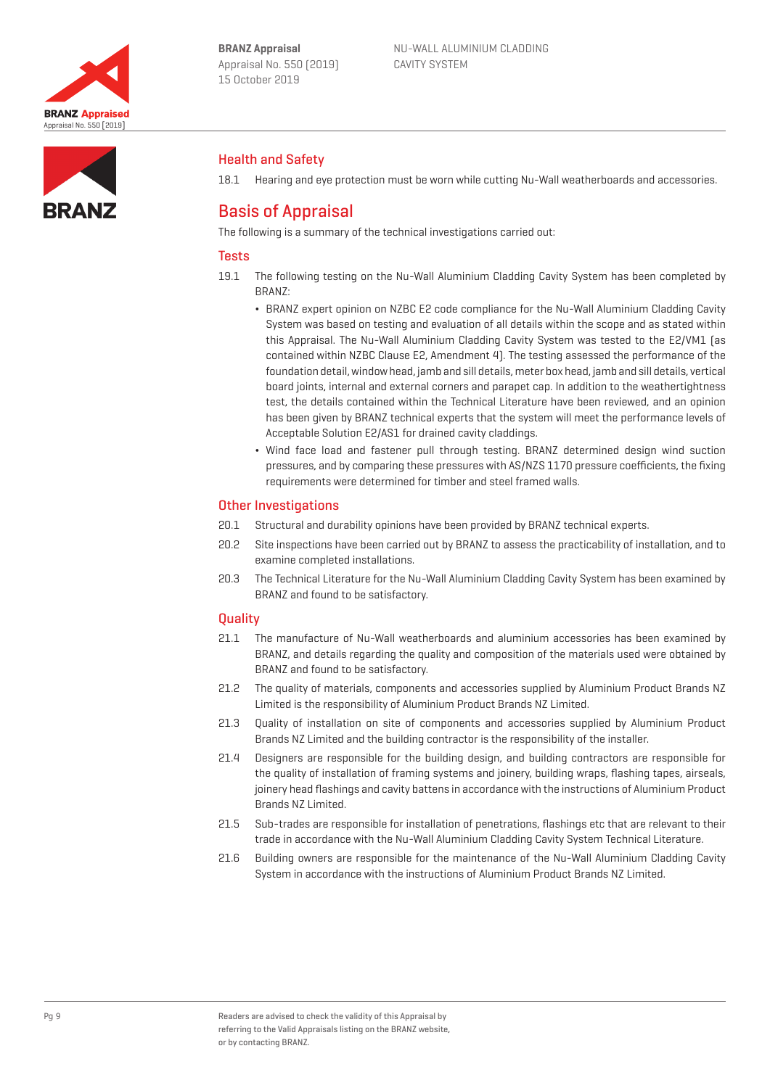



## Health and Safety

18.1 Hearing and eye protection must be worn while cutting Nu-Wall weatherboards and accessories.

# Basis of Appraisal

The following is a summary of the technical investigations carried out:

## **Tests**

- 19.1 The following testing on the Nu-Wall Aluminium Cladding Cavity System has been completed by BRANZ:
	- ¬ BRANZ expert opinion on NZBC E2 code compliance for the Nu-Wall Aluminium Cladding Cavity System was based on testing and evaluation of all details within the scope and as stated within this Appraisal. The Nu-Wall Aluminium Cladding Cavity System was tested to the E2/VM1 (as contained within NZBC Clause E2, Amendment 4). The testing assessed the performance of the foundation detail, window head, jamb and sill details, meter box head, jamb and sill details, vertical board joints, internal and external corners and parapet cap. In addition to the weathertightness test, the details contained within the Technical Literature have been reviewed, and an opinion has been given by BRANZ technical experts that the system will meet the performance levels of Acceptable Solution E2/AS1 for drained cavity claddings.
	- ¬ Wind face load and fastener pull through testing. BRANZ determined design wind suction pressures, and by comparing these pressures with AS/NZS 1170 pressure coefficients, the fixing requirements were determined for timber and steel framed walls.

## Other Investigations

- 20.1 Structural and durability opinions have been provided by BRANZ technical experts.
- 20.2 Site inspections have been carried out by BRANZ to assess the practicability of installation, and to examine completed installations.
- 20.3 The Technical Literature for the Nu-Wall Aluminium Cladding Cavity System has been examined by BRANZ and found to be satisfactory.

## **Ouality**

- 21.1 The manufacture of Nu-Wall weatherboards and aluminium accessories has been examined by BRANZ, and details regarding the quality and composition of the materials used were obtained by BRANZ and found to be satisfactory.
- 21.2 The quality of materials, components and accessories supplied by Aluminium Product Brands NZ Limited is the responsibility of Aluminium Product Brands NZ Limited.
- 21.3 Quality of installation on site of components and accessories supplied by Aluminium Product Brands NZ Limited and the building contractor is the responsibility of the installer.
- 21.4 Designers are responsible for the building design, and building contractors are responsible for the quality of installation of framing systems and joinery, building wraps, flashing tapes, airseals, joinery head flashings and cavity battens in accordance with the instructions of Aluminium Product Brands NZ Limited.
- 21.5 Sub-trades are responsible for installation of penetrations, flashings etc that are relevant to their trade in accordance with the Nu-Wall Aluminium Cladding Cavity System Technical Literature.
- 21.6 Building owners are responsible for the maintenance of the Nu-Wall Aluminium Cladding Cavity System in accordance with the instructions of Aluminium Product Brands NZ Limited.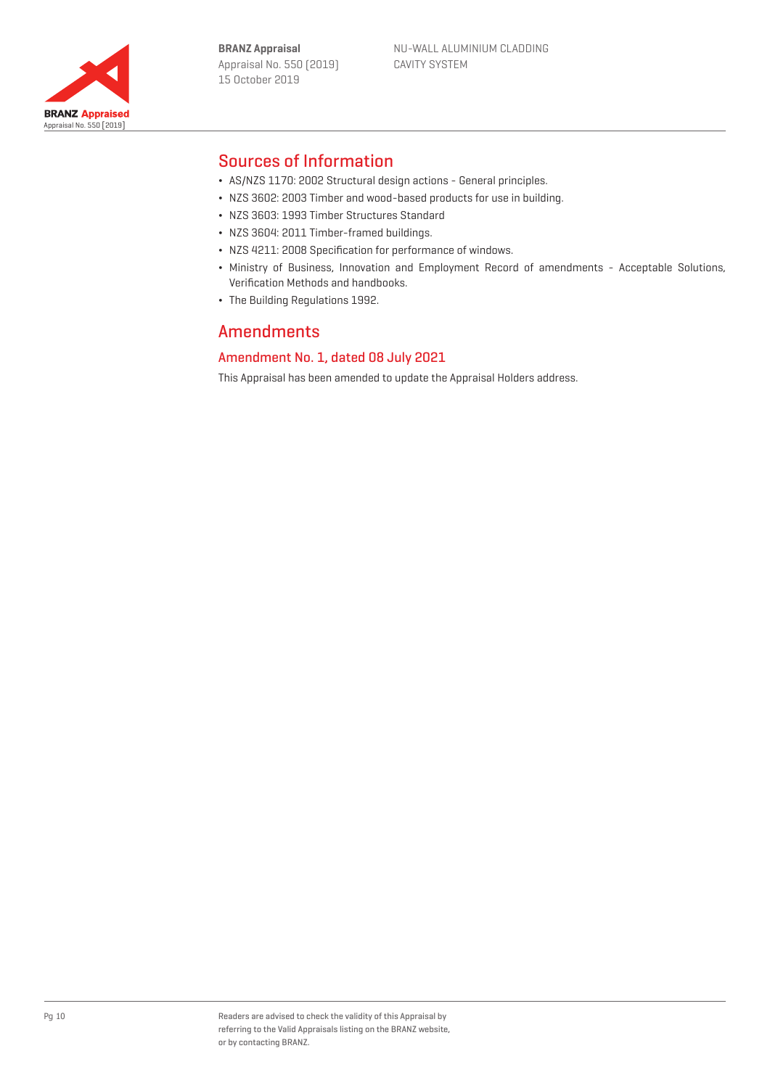



# Sources of Information

- ¬ AS/NZS 1170: 2002 Structural design actions General principles.
- ¬ NZS 3602: 2003 Timber and wood-based products for use in building.
- ¬ NZS 3603: 1993 Timber Structures Standard
- ¬ NZS 3604: 2011 Timber-framed buildings.
- ¬ NZS 4211: 2008 Specification for performance of windows.
- ¬ Ministry of Business, Innovation and Employment Record of amendments Acceptable Solutions, Verification Methods and handbooks.
- ¬ The Building Regulations 1992.

# Amendments

## Amendment No. 1, dated 08 July 2021

This Appraisal has been amended to update the Appraisal Holders address.